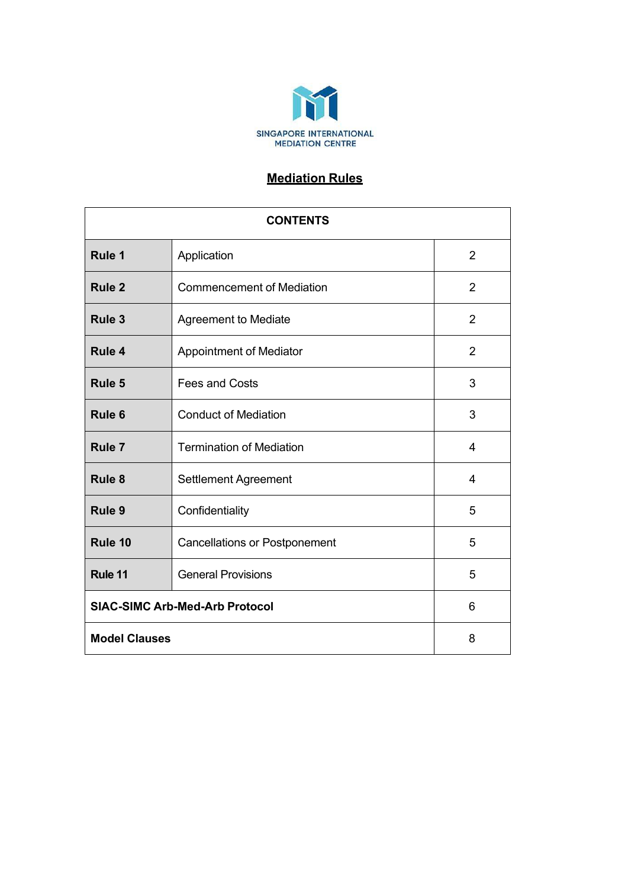

# **Mediation Rules**

| <b>CONTENTS</b>                       |                                      |                |
|---------------------------------------|--------------------------------------|----------------|
| Rule 1                                | Application                          | $\overline{2}$ |
| <b>Rule 2</b>                         | <b>Commencement of Mediation</b>     | $\overline{2}$ |
| Rule 3                                | <b>Agreement to Mediate</b>          | 2              |
| Rule 4                                | Appointment of Mediator              | $\overline{2}$ |
| Rule 5                                | <b>Fees and Costs</b>                | 3              |
| Rule <sub>6</sub>                     | <b>Conduct of Mediation</b>          | 3              |
| Rule <sub>7</sub>                     | <b>Termination of Mediation</b>      | 4              |
| Rule 8                                | Settlement Agreement                 | 4              |
| Rule 9                                | Confidentiality                      | 5              |
| Rule 10                               | <b>Cancellations or Postponement</b> | 5              |
| Rule 11                               | <b>General Provisions</b>            | 5              |
| <b>SIAC-SIMC Arb-Med-Arb Protocol</b> |                                      | 6              |
| <b>Model Clauses</b>                  |                                      | 8              |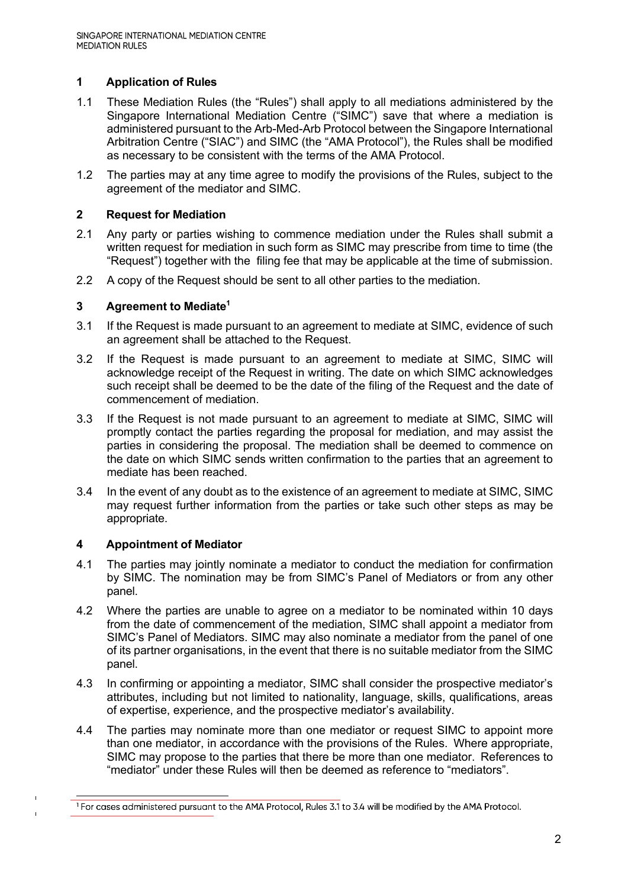# **1 Application of Rules**

- 1.1 These Mediation Rules (the "Rules") shall apply to all mediations administered by the Singapore International Mediation Centre ("SIMC") save that where a mediation is administered pursuant to the Arb-Med-Arb Protocol between the Singapore International Arbitration Centre ("SIAC") and SIMC (the "AMA Protocol"), the Rules shall be modified as necessary to be consistent with the terms of the AMA Protocol.
- 1.2 The parties may at any time agree to modify the provisions of the Rules, subject to the agreement of the mediator and SIMC.

#### **2 Request for Mediation**

- 2.1 Any party or parties wishing to commence mediation under the Rules shall submit a written request for mediation in such form as SIMC may prescribe from time to time (the "Request") together with the filing fee that may be applicable at the time of submission.
- 2.2 A copy of the Request should be sent to all other parties to the mediation.

#### **3 Agreement to Mediate1**

- 3.1 If the Request is made pursuant to an agreement to mediate at SIMC, evidence of such an agreement shall be attached to the Request.
- 3.2 If the Request is made pursuant to an agreement to mediate at SIMC, SIMC will acknowledge receipt of the Request in writing. The date on which SIMC acknowledges such receipt shall be deemed to be the date of the filing of the Request and the date of commencement of mediation.
- 3.3 If the Request is not made pursuant to an agreement to mediate at SIMC, SIMC will promptly contact the parties regarding the proposal for mediation, and may assist the parties in considering the proposal. The mediation shall be deemed to commence on the date on which SIMC sends written confirmation to the parties that an agreement to mediate has been reached.
- 3.4 In the event of any doubt as to the existence of an agreement to mediate at SIMC, SIMC may request further information from the parties or take such other steps as may be appropriate.

## **4 Appointment of Mediator**

- 4.1 The parties may jointly nominate a mediator to conduct the mediation for confirmation by SIMC. The nomination may be from SIMC's Panel of Mediators or from any other panel.
- 4.2 Where the parties are unable to agree on a mediator to be nominated within 10 days from the date of commencement of the mediation, SIMC shall appoint a mediator from SIMC's Panel of Mediators. SIMC may also nominate a mediator from the panel of one of its partner organisations, in the event that there is no suitable mediator from the SIMC panel.
- 4.3 In confirming or appointing a mediator, SIMC shall consider the prospective mediator's attributes, including but not limited to nationality, language, skills, qualifications, areas of expertise, experience, and the prospective mediator's availability.
- 4.4 The parties may nominate more than one mediator or request SIMC to appoint more than one mediator, in accordance with the provisions of the Rules. Where appropriate, SIMC may propose to the parties that there be more than one mediator. References to "mediator" under these Rules will then be deemed as reference to "mediators".

<sup>&</sup>lt;sup>1</sup> For cases administered pursuant to the AMA Protocol, Rules 3.1 to 3.4 will be modified by the AMA Protocol.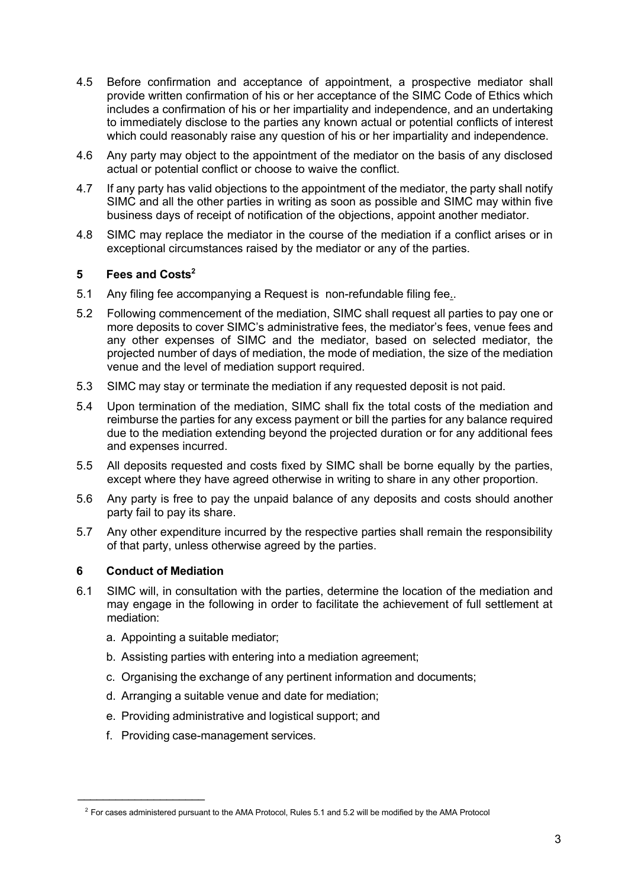- 4.5 Before confirmation and acceptance of appointment, a prospective mediator shall provide written confirmation of his or her acceptance of the SIMC Code of Ethics which includes a confirmation of his or her impartiality and independence, and an undertaking to immediately disclose to the parties any known actual or potential conflicts of interest which could reasonably raise any question of his or her impartiality and independence.
- 4.6 Any party may object to the appointment of the mediator on the basis of any disclosed actual or potential conflict or choose to waive the conflict.
- 4.7 If any party has valid objections to the appointment of the mediator, the party shall notify SIMC and all the other parties in writing as soon as possible and SIMC may within five business days of receipt of notification of the objections, appoint another mediator.
- 4.8 SIMC may replace the mediator in the course of the mediation if a conflict arises or in exceptional circumstances raised by the mediator or any of the parties.

## **5 Fees and Costs2**

- 5.1 Any filing fee accompanying a Request is non-refundable filing fee..
- 5.2 Following commencement of the mediation, SIMC shall request all parties to pay one or more deposits to cover SIMC's administrative fees, the mediator's fees, venue fees and any other expenses of SIMC and the mediator, based on selected mediator, the projected number of days of mediation, the mode of mediation, the size of the mediation venue and the level of mediation support required.
- 5.3 SIMC may stay or terminate the mediation if any requested deposit is not paid.
- 5.4 Upon termination of the mediation, SIMC shall fix the total costs of the mediation and reimburse the parties for any excess payment or bill the parties for any balance required due to the mediation extending beyond the projected duration or for any additional fees and expenses incurred.
- 5.5 All deposits requested and costs fixed by SIMC shall be borne equally by the parties, except where they have agreed otherwise in writing to share in any other proportion.
- 5.6 Any party is free to pay the unpaid balance of any deposits and costs should another party fail to pay its share.
- 5.7 Any other expenditure incurred by the respective parties shall remain the responsibility of that party, unless otherwise agreed by the parties.

## **6 Conduct of Mediation**

 $\frac{1}{2}$ 

- 6.1 SIMC will, in consultation with the parties, determine the location of the mediation and may engage in the following in order to facilitate the achievement of full settlement at mediation:
	- a. Appointing a suitable mediator;
	- b. Assisting parties with entering into a mediation agreement;
	- c. Organising the exchange of any pertinent information and documents;
	- d. Arranging a suitable venue and date for mediation;
	- e. Providing administrative and logistical support; and
	- f. Providing case-management services.

 $2$  For cases administered pursuant to the AMA Protocol, Rules 5.1 and 5.2 will be modified by the AMA Protocol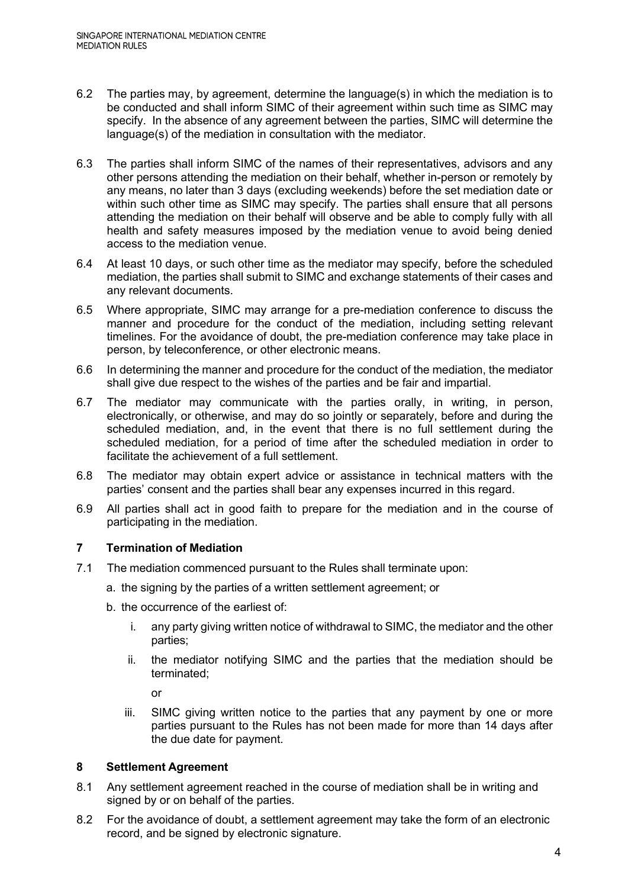- 6.2 The parties may, by agreement, determine the language(s) in which the mediation is to be conducted and shall inform SIMC of their agreement within such time as SIMC may specify. In the absence of any agreement between the parties, SIMC will determine the language(s) of the mediation in consultation with the mediator.
- 6.3 The parties shall inform SIMC of the names of their representatives, advisors and any other persons attending the mediation on their behalf, whether in-person or remotely by any means, no later than 3 days (excluding weekends) before the set mediation date or within such other time as SIMC may specify. The parties shall ensure that all persons attending the mediation on their behalf will observe and be able to comply fully with all health and safety measures imposed by the mediation venue to avoid being denied access to the mediation venue.
- 6.4 At least 10 days, or such other time as the mediator may specify, before the scheduled mediation, the parties shall submit to SIMC and exchange statements of their cases and any relevant documents.
- 6.5 Where appropriate, SIMC may arrange for a pre-mediation conference to discuss the manner and procedure for the conduct of the mediation, including setting relevant timelines. For the avoidance of doubt, the pre-mediation conference may take place in person, by teleconference, or other electronic means.
- 6.6 In determining the manner and procedure for the conduct of the mediation, the mediator shall give due respect to the wishes of the parties and be fair and impartial.
- 6.7 The mediator may communicate with the parties orally, in writing, in person, electronically, or otherwise, and may do so jointly or separately, before and during the scheduled mediation, and, in the event that there is no full settlement during the scheduled mediation, for a period of time after the scheduled mediation in order to facilitate the achievement of a full settlement.
- 6.8 The mediator may obtain expert advice or assistance in technical matters with the parties' consent and the parties shall bear any expenses incurred in this regard.
- 6.9 All parties shall act in good faith to prepare for the mediation and in the course of participating in the mediation.

# **7 Termination of Mediation**

- 7.1 The mediation commenced pursuant to the Rules shall terminate upon:
	- a. the signing by the parties of a written settlement agreement; or
	- b. the occurrence of the earliest of:
		- i. any party giving written notice of withdrawal to SIMC, the mediator and the other parties;
		- ii. the mediator notifying SIMC and the parties that the mediation should be terminated;

or

iii. SIMC giving written notice to the parties that any payment by one or more parties pursuant to the Rules has not been made for more than 14 days after the due date for payment.

## **8 Settlement Agreement**

- 8.1 Any settlement agreement reached in the course of mediation shall be in writing and signed by or on behalf of the parties.
- 8.2 For the avoidance of doubt, a settlement agreement may take the form of an electronic record, and be signed by electronic signature.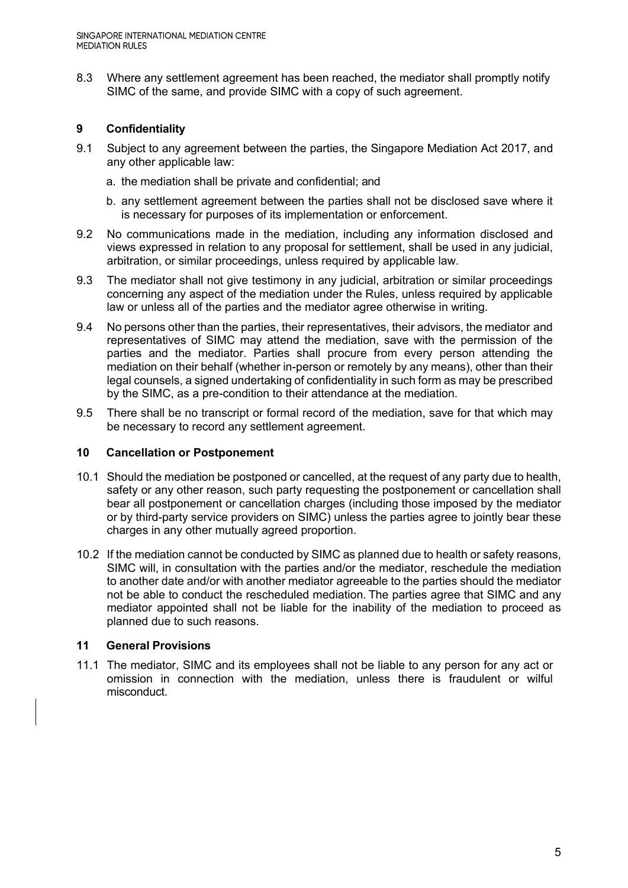8.3 Where any settlement agreement has been reached, the mediator shall promptly notify SIMC of the same, and provide SIMC with a copy of such agreement.

## **9 Confidentiality**

- 9.1 Subject to any agreement between the parties, the Singapore Mediation Act 2017, and any other applicable law:
	- a. the mediation shall be private and confidential; and
	- b. any settlement agreement between the parties shall not be disclosed save where it is necessary for purposes of its implementation or enforcement.
- 9.2 No communications made in the mediation, including any information disclosed and views expressed in relation to any proposal for settlement, shall be used in any judicial, arbitration, or similar proceedings, unless required by applicable law.
- 9.3 The mediator shall not give testimony in any judicial, arbitration or similar proceedings concerning any aspect of the mediation under the Rules, unless required by applicable law or unless all of the parties and the mediator agree otherwise in writing.
- 9.4 No persons other than the parties, their representatives, their advisors, the mediator and representatives of SIMC may attend the mediation, save with the permission of the parties and the mediator. Parties shall procure from every person attending the mediation on their behalf (whether in-person or remotely by any means), other than their legal counsels, a signed undertaking of confidentiality in such form as may be prescribed by the SIMC, as a pre-condition to their attendance at the mediation.
- 9.5 There shall be no transcript or formal record of the mediation, save for that which may be necessary to record any settlement agreement.

## **10 Cancellation or Postponement**

- 10.1 Should the mediation be postponed or cancelled, at the request of any party due to health, safety or any other reason, such party requesting the postponement or cancellation shall bear all postponement or cancellation charges (including those imposed by the mediator or by third-party service providers on SIMC) unless the parties agree to jointly bear these charges in any other mutually agreed proportion.
- 10.2 If the mediation cannot be conducted by SIMC as planned due to health or safety reasons, SIMC will, in consultation with the parties and/or the mediator, reschedule the mediation to another date and/or with another mediator agreeable to the parties should the mediator not be able to conduct the rescheduled mediation. The parties agree that SIMC and any mediator appointed shall not be liable for the inability of the mediation to proceed as planned due to such reasons.

## **11 General Provisions**

11.1 The mediator, SIMC and its employees shall not be liable to any person for any act or omission in connection with the mediation, unless there is fraudulent or wilful misconduct.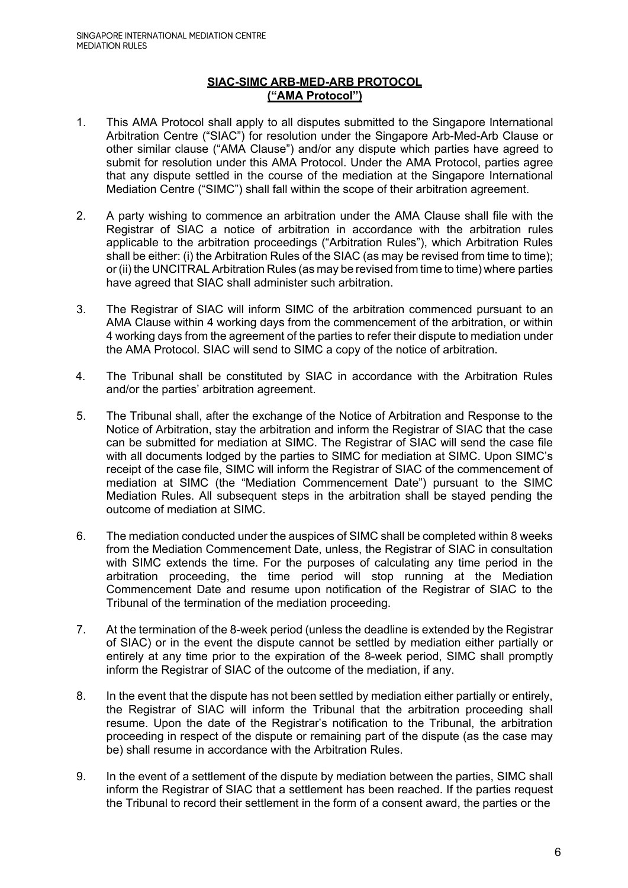## **SIAC-SIMC ARB-MED-ARB PROTOCOL ("AMA Protocol")**

- 1. This AMA Protocol shall apply to all disputes submitted to the Singapore International Arbitration Centre ("SIAC") for resolution under the Singapore Arb-Med-Arb Clause or other similar clause ("AMA Clause") and/or any dispute which parties have agreed to submit for resolution under this AMA Protocol. Under the AMA Protocol, parties agree that any dispute settled in the course of the mediation at the Singapore International Mediation Centre ("SIMC") shall fall within the scope of their arbitration agreement.
- 2. A party wishing to commence an arbitration under the AMA Clause shall file with the Registrar of SIAC a notice of arbitration in accordance with the arbitration rules applicable to the arbitration proceedings ("Arbitration Rules"), which Arbitration Rules shall be either: (i) the Arbitration Rules of the SIAC (as may be revised from time to time); or (ii) the UNCITRAL Arbitration Rules (as may be revised from time to time) where parties have agreed that SIAC shall administer such arbitration.
- 3. The Registrar of SIAC will inform SIMC of the arbitration commenced pursuant to an AMA Clause within 4 working days from the commencement of the arbitration, or within 4 working days from the agreement of the parties to refer their dispute to mediation under the AMA Protocol. SIAC will send to SIMC a copy of the notice of arbitration.
- 4. The Tribunal shall be constituted by SIAC in accordance with the Arbitration Rules and/or the parties' arbitration agreement.
- 5. The Tribunal shall, after the exchange of the Notice of Arbitration and Response to the Notice of Arbitration, stay the arbitration and inform the Registrar of SIAC that the case can be submitted for mediation at SIMC. The Registrar of SIAC will send the case file with all documents lodged by the parties to SIMC for mediation at SIMC. Upon SIMC's receipt of the case file, SIMC will inform the Registrar of SIAC of the commencement of mediation at SIMC (the "Mediation Commencement Date") pursuant to the SIMC Mediation Rules. All subsequent steps in the arbitration shall be stayed pending the outcome of mediation at SIMC.
- 6. The mediation conducted under the auspices of SIMC shall be completed within 8 weeks from the Mediation Commencement Date, unless, the Registrar of SIAC in consultation with SIMC extends the time. For the purposes of calculating any time period in the arbitration proceeding, the time period will stop running at the Mediation Commencement Date and resume upon notification of the Registrar of SIAC to the Tribunal of the termination of the mediation proceeding.
- 7. At the termination of the 8-week period (unless the deadline is extended by the Registrar of SIAC) or in the event the dispute cannot be settled by mediation either partially or entirely at any time prior to the expiration of the 8-week period, SIMC shall promptly inform the Registrar of SIAC of the outcome of the mediation, if any.
- 8. In the event that the dispute has not been settled by mediation either partially or entirely, the Registrar of SIAC will inform the Tribunal that the arbitration proceeding shall resume. Upon the date of the Registrar's notification to the Tribunal, the arbitration proceeding in respect of the dispute or remaining part of the dispute (as the case may be) shall resume in accordance with the Arbitration Rules.
- 9. In the event of a settlement of the dispute by mediation between the parties, SIMC shall inform the Registrar of SIAC that a settlement has been reached. If the parties request the Tribunal to record their settlement in the form of a consent award, the parties or the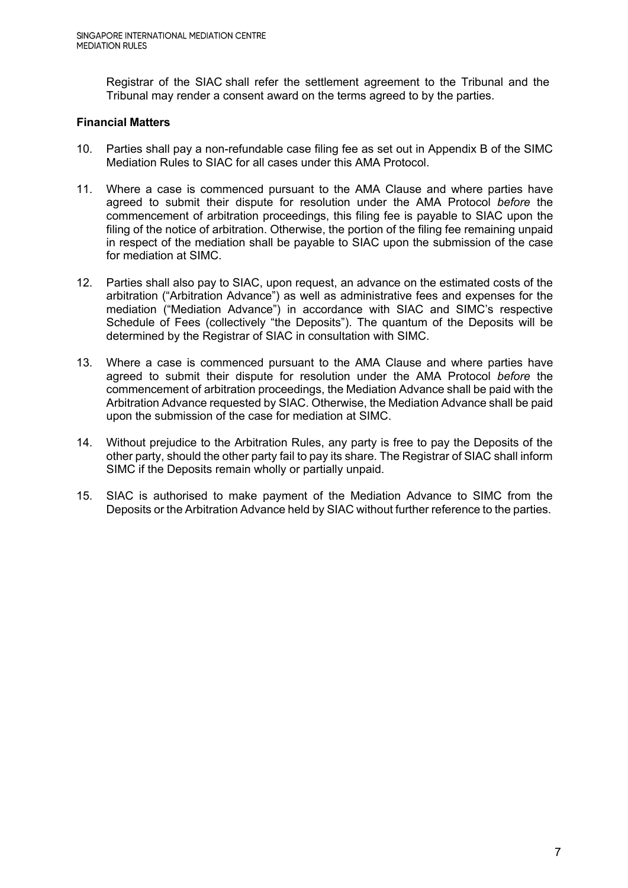Registrar of the SIAC shall refer the settlement agreement to the Tribunal and the Tribunal may render a consent award on the terms agreed to by the parties.

## **Financial Matters**

- 10. Parties shall pay a non-refundable case filing fee as set out in Appendix B of the SIMC Mediation Rules to SIAC for all cases under this AMA Protocol.
- 11. Where a case is commenced pursuant to the AMA Clause and where parties have agreed to submit their dispute for resolution under the AMA Protocol *before* the commencement of arbitration proceedings, this filing fee is payable to SIAC upon the filing of the notice of arbitration. Otherwise, the portion of the filing fee remaining unpaid in respect of the mediation shall be payable to SIAC upon the submission of the case for mediation at SIMC.
- 12. Parties shall also pay to SIAC, upon request, an advance on the estimated costs of the arbitration ("Arbitration Advance") as well as administrative fees and expenses for the mediation ("Mediation Advance") in accordance with SIAC and SIMC's respective Schedule of Fees (collectively "the Deposits"). The quantum of the Deposits will be determined by the Registrar of SIAC in consultation with SIMC.
- 13. Where a case is commenced pursuant to the AMA Clause and where parties have agreed to submit their dispute for resolution under the AMA Protocol *before* the commencement of arbitration proceedings, the Mediation Advance shall be paid with the Arbitration Advance requested by SIAC. Otherwise, the Mediation Advance shall be paid upon the submission of the case for mediation at SIMC.
- 14. Without prejudice to the Arbitration Rules, any party is free to pay the Deposits of the other party, should the other party fail to pay its share. The Registrar of SIAC shall inform SIMC if the Deposits remain wholly or partially unpaid.
- 15. SIAC is authorised to make payment of the Mediation Advance to SIMC from the Deposits or the Arbitration Advance held by SIAC without further reference to the parties.